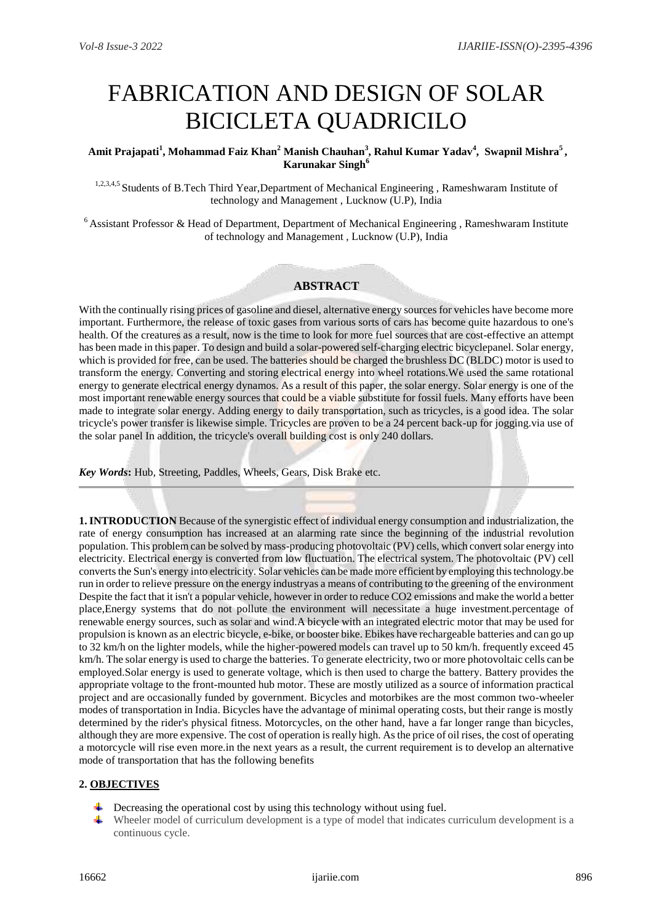# FABRICATION AND DESIGN OF SOLAR BICICLETA QUADRICILO

## **Amit Prajapati<sup>1</sup> , Mohammad Faiz Khan<sup>2</sup> Manish Chauhan<sup>3</sup> , Rahul Kumar Yadav<sup>4</sup> , Swapnil Mishra<sup>5</sup> , Karunakar Singh<sup>6</sup>**

1,2,3,4,5 Students of B.Tech Third Year,Department of Mechanical Engineering , Rameshwaram Institute of technology and Management , Lucknow (U.P), India

<sup>6</sup> Assistant Professor & Head of Department, Department of Mechanical Engineering, Rameshwaram Institute of technology and Management , Lucknow (U.P), India

## **ABSTRACT**

With the continually rising prices of gasoline and diesel, alternative energy sources for vehicles have become more important. Furthermore, the release of toxic gases from various sorts of cars has become quite hazardous to one's health. Of the creatures as a result, now is the time to look for more fuel sources that are cost-effective an attempt has been made in this paper. To design and build a solar-powered self-charging electric bicyclepanel. Solar energy, which is provided for free, can be used. The batteries should be charged the brushless DC (BLDC) motor is used to transform the energy. Converting and storing electrical energy into wheel rotations.We used the same rotational energy to generate electrical energy dynamos. As a result of this paper, the solar energy. Solar energy is one of the most important renewable energy sources that could be a viable substitute for fossil fuels. Many efforts have been made to integrate solar energy. Adding energy to daily transportation, such as tricycles, is a good idea. The solar tricycle's power transfer is likewise simple. Tricycles are proven to be a 24 percent back-up for jogging.via use of the solar panel In addition, the tricycle's overall building cost is only 240 dollars.

*Key Words***:** Hub, Streeting, Paddles, Wheels, Gears, Disk Brake etc.

**1. INTRODUCTION** Because of the synergistic effect of individual energy consumption and industrialization, the rate of energy consumption has increased at an alarming rate since the beginning of the industrial revolution population. This problem can be solved by mass-producing photovoltaic (PV) cells, which convert solar energy into electricity. Electrical energy is converted from low fluctuation. The electrical system. The photovoltaic (PV) cell converts the Sun's energy into electricity. Solar vehicles can be made more efficient by employing this technology.be run in order to relieve pressure on the energy industryas a means of contributing to the greening of the environment Despite the fact that it isn't a popular vehicle, however in order to reduce CO2 emissions and make the world a better place,Energy systems that do not pollute the environment will necessitate a huge investment.percentage of renewable energy sources, such as solar and wind.A bicycle with an integrated electric motor that may be used for propulsion is known as an electric bicycle, e-bike, or booster bike. Ebikes have rechargeable batteries and can go up to 32 km/h on the lighter models, while the higher-powered models can travel up to 50 km/h. frequently exceed 45 km/h. The solar energy is used to charge the batteries. To generate electricity, two or more photovoltaic cells can be employed.Solar energy is used to generate voltage, which is then used to charge the battery. Battery provides the appropriate voltage to the front-mounted hub motor. These are mostly utilized as a source of information practical project and are occasionally funded by government. Bicycles and motorbikes are the most common two-wheeler modes of transportation in India. Bicycles have the advantage of minimal operating costs, but their range is mostly determined by the rider's physical fitness. Motorcycles, on the other hand, have a far longer range than bicycles, although they are more expensive. The cost of operation is really high. As the price of oil rises, the cost of operating a motorcycle will rise even more.in the next years as a result, the current requirement is to develop an alternative mode of transportation that has the following benefits

## **2. OBJECTIVES**

- Decreasing the operational cost by using this technology without using fuel.
- Wheeler model of curriculum development is a type of model that indicates curriculum development is a continuous cycle.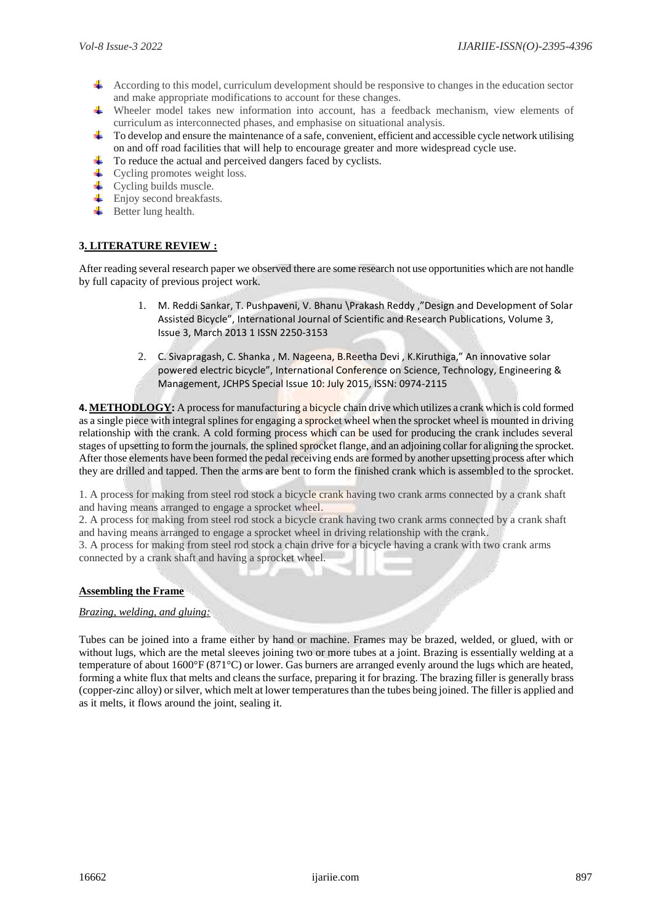- According to this model, curriculum development should be responsive to changes in the education sector and make appropriate modifications to account for these changes.
- Wheeler model takes new information into account, has a feedback mechanism, view elements of curriculum as interconnected phases, and emphasise on situational analysis.
- $\ddot{\bullet}$  To develop and ensure the maintenance of a safe, convenient, efficient and accessible cycle network utilising on and off road facilities that will help to encourage greater and more widespread cycle use.
- To reduce the actual and perceived dangers faced by cyclists.
- $\leftarrow$  Cycling promotes weight loss.
- **↓** Cycling builds muscle.
- $\overline{\phantom{a}}$  Enjoy second breakfasts.
- $\overline{\phantom{a}}$  Better lung health.

# **3. LITERATURE REVIEW :**

After reading several research paper we observed there are some research not use opportunities which are not handle by full capacity of previous project work.

- 1. M. Reddi Sankar, T. Pushpaveni, V. Bhanu \Prakash Reddy ,"Design and Development of Solar Assisted Bicycle", International Journal of Scientific and Research Publications, Volume 3, Issue 3, March 2013 1 ISSN 2250-3153
- 2. C. Sivapragash, C. Shanka , M. Nageena, B.Reetha Devi , K.Kiruthiga," An innovative solar powered electric bicycle", International Conference on Science, Technology, Engineering & Management, JCHPS Special Issue 10: July 2015, ISSN: 0974-2115

**4. METHODLOGY:** A process for manufacturing a bicycle chain drive which utilizes a crank which is cold formed as a single piece with integral splines for engaging a sprocket wheel when the sprocket wheel is mounted in driving relationship with the crank. A cold forming process which can be used for producing the crank includes several stages of upsetting to form the journals, the splined sprocket flange, and an adjoining collar for aligning the sprocket. After those elements have been formed the pedal receiving ends are formed by another upsetting process after which they are drilled and tapped. Then the arms are bent to form the finished crank which is assembled to the sprocket.

1. A process for making from steel rod stock a bicycle crank having two crank arms connected by a crank shaft and having means arranged to engage a sprocket wheel.

2. A process for making from steel rod stock a bicycle crank having two crank arms connected by a crank shaft and having means arranged to engage a sprocket wheel in driving relationship with the crank.

3. A process for making from steel rod stock a chain drive for a bicycle having a crank with two crank arms connected by a crank shaft and having a sprocket wheel.

#### **Assembling the Frame**

#### *Brazing, welding, and gluing:*

Tubes can be joined into a frame either by hand or machine. Frames may be brazed, welded, or glued, with or without lugs, which are the metal sleeves joining two or more tubes at a joint. Brazing is essentially welding at a temperature of about 1600°F (871°C) or lower. Gas burners are arranged evenly around the lugs which are heated, forming a white flux that melts and cleans the surface, preparing it for brazing. The brazing filler is generally brass (copper-zinc alloy) or silver, which melt at lower temperatures than the tubes being joined. The filler is applied and as it melts, it flows around the joint, sealing it.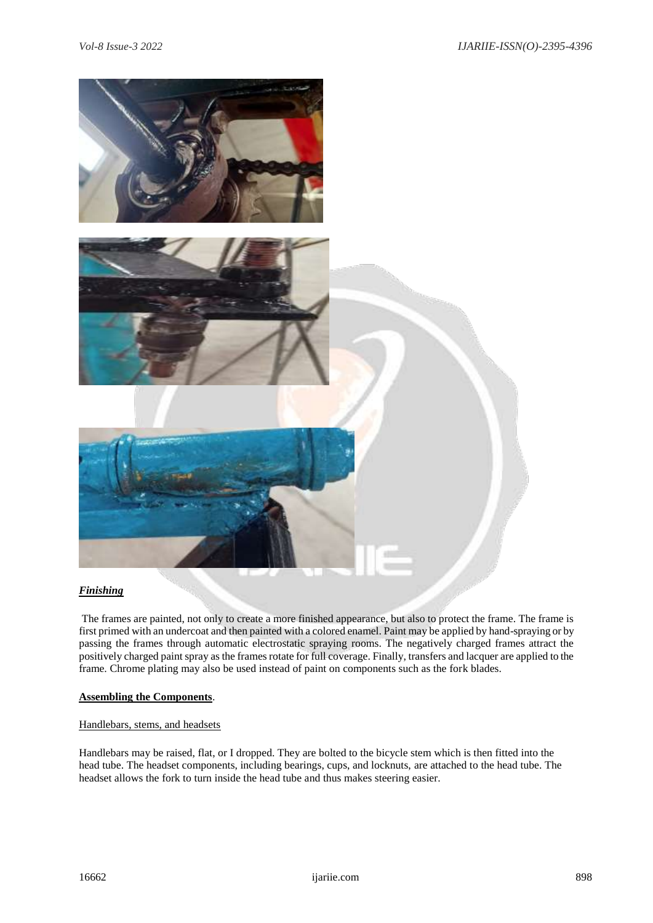

#### *Finishing*

The frames are painted, not only to create a more finished appearance, but also to protect the frame. The frame is first primed with an undercoat and then painted with a colored enamel. Paint may be applied by hand-spraying or by passing the frames through automatic electrostatic spraying rooms. The negatively charged frames attract the positively charged paint spray as the frames rotate for full coverage. Finally, transfers and lacquer are applied to the frame. Chrome plating may also be used instead of paint on components such as the fork blades.

#### **Assembling the Components**.

#### Handlebars, stems, and headsets

Handlebars may be raised, flat, or I dropped. They are bolted to the bicycle stem which is then fitted into the head tube. The headset components, including bearings, cups, and locknuts, are attached to the head tube. The headset allows the fork to turn inside the head tube and thus makes steering easier.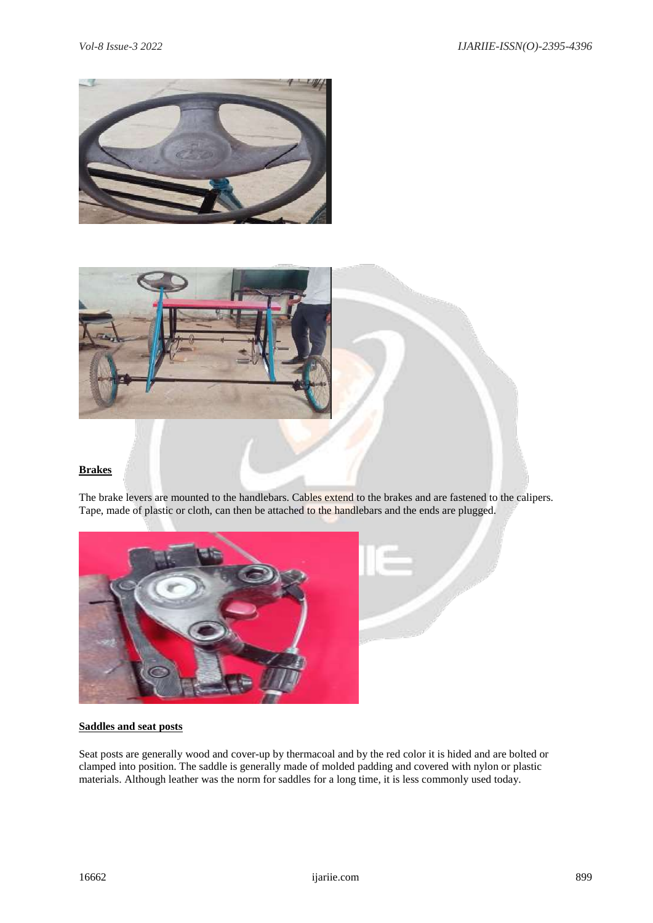



# **Brakes**

The brake levers are mounted to the handlebars. Cables extend to the brakes and are fastened to the calipers. Tape, made of plastic or cloth, can then be attached to the handlebars and the ends are plugged.



# **Saddles and seat posts**

Seat posts are generally wood and cover-up by thermacoal and by the red color it is hided and are bolted or clamped into position. The saddle is generally made of molded padding and covered with nylon or plastic materials. Although leather was the norm for saddles for a long time, it is less commonly used today.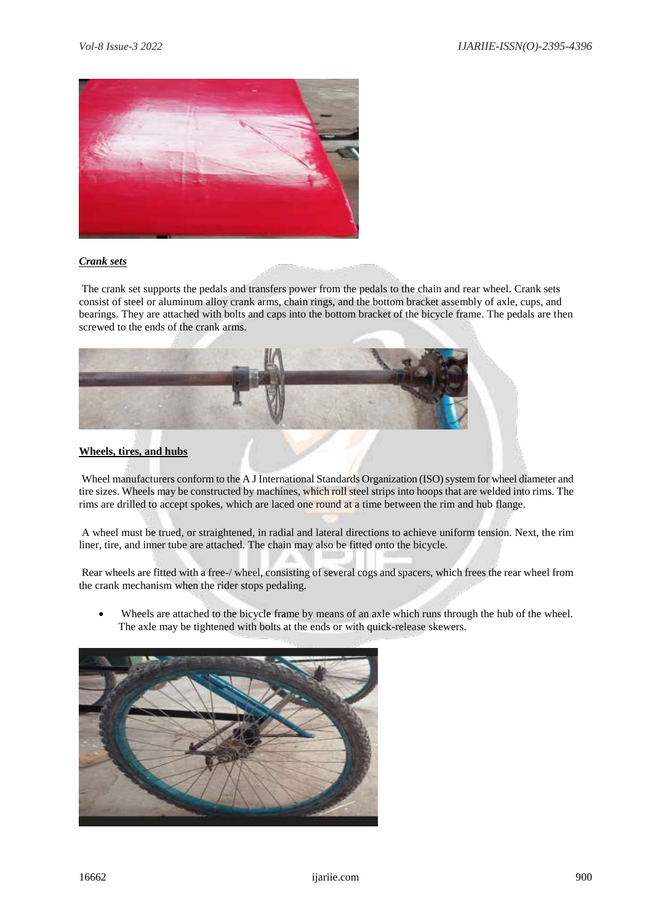

# *Crank sets*

The crank set supports the pedals and transfers power from the pedals to the chain and rear wheel. Crank sets consist of steel or aluminum alloy crank arms, chain rings, and the bottom bracket assembly of axle, cups, and bearings. They are attached with bolts and caps into the bottom bracket of the bicycle frame. The pedals are then screwed to the ends of the crank arms.



# **Wheels, tires, and hubs**

Wheel manufacturers conform to the A J International Standards Organization (ISO) system for wheel diameter and tire sizes. Wheels may be constructed by machines, which roll steel strips into hoops that are welded into rims. The rims are drilled to accept spokes, which are laced one round at a time between the rim and hub flange.

A wheel must be trued, or straightened, in radial and lateral directions to achieve uniform tension. Next, the rim liner, tire, and inner tube are attached. The chain may also be fitted onto the bicycle.

Rear wheels are fitted with a free-/ wheel, consisting of several cogs and spacers, which frees the rear wheel from the crank mechanism when the rider stops pedaling.

 Wheels are attached to the bicycle frame by means of an axle which runs through the hub of the wheel. The axle may be tightened with bolts at the ends or with quick-release skewers.

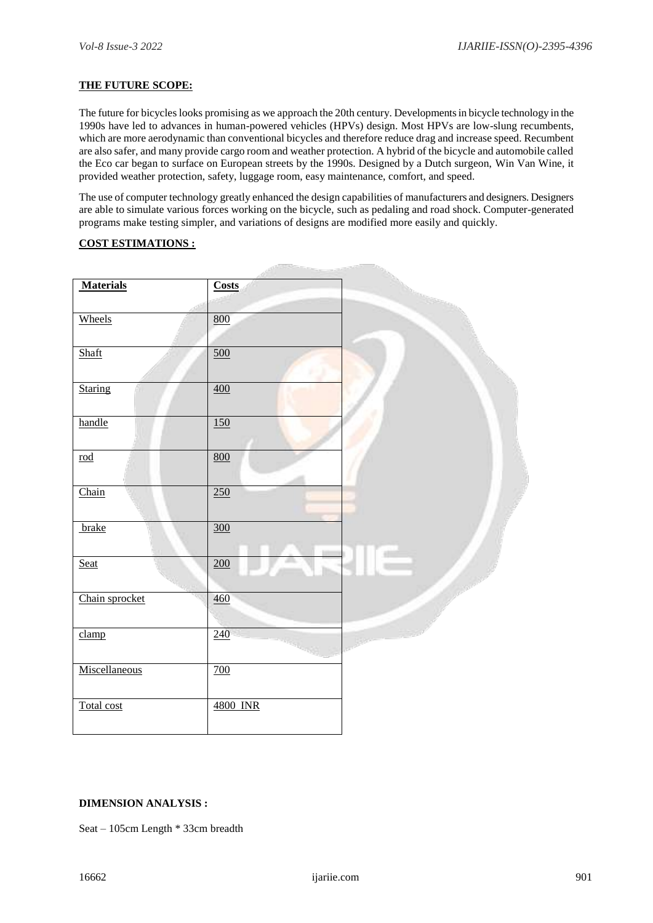#### **THE FUTURE SCOPE:**

The future for bicycles looks promising as we approach the 20th century. Developments in bicycle technology in the 1990s have led to advances in human-powered vehicles (HPVs) design. Most HPVs are low-slung recumbents, which are more aerodynamic than conventional bicycles and therefore reduce drag and increase speed. Recumbent are also safer, and many provide cargo room and weather protection. A hybrid of the bicycle and automobile called the Eco car began to surface on European streets by the 1990s. Designed by a Dutch surgeon, Win Van Wine, it provided weather protection, safety, luggage room, easy maintenance, comfort, and speed.

The use of computer technology greatly enhanced the design capabilities of manufacturers and designers. Designers are able to simulate various forces working on the bicycle, such as pedaling and road shock. Computer-generated programs make testing simpler, and variations of designs are modified more easily and quickly.

a following

#### **COST ESTIMATIONS :**

| <b>Materials</b>         | Costs             |  |
|--------------------------|-------------------|--|
|                          |                   |  |
|                          |                   |  |
| Wheels                   | 800               |  |
|                          |                   |  |
|                          |                   |  |
| Shaft                    | $\underline{500}$ |  |
|                          |                   |  |
|                          |                   |  |
| <b>Staring</b>           | 400               |  |
|                          |                   |  |
|                          |                   |  |
| handle                   | 150               |  |
|                          |                   |  |
|                          | 800               |  |
| $\underline{\text{rod}}$ |                   |  |
|                          |                   |  |
|                          |                   |  |
| Chain                    | 250               |  |
|                          |                   |  |
|                          | $\frac{300}{ }$   |  |
| brake                    |                   |  |
|                          |                   |  |
| Seat                     |                   |  |
|                          | $\overline{200}$  |  |
|                          |                   |  |
| Chain sprocket           | 460               |  |
|                          |                   |  |
|                          |                   |  |
| clamp                    | $\frac{240}{2}$   |  |
|                          |                   |  |
|                          |                   |  |
| Miscellaneous            | 700               |  |
|                          |                   |  |
|                          |                   |  |
|                          |                   |  |
| Total cost               | 4800 INR          |  |
|                          |                   |  |
|                          |                   |  |

#### **DIMENSION ANALYSIS :**

Seat – 105cm Length \* 33cm breadth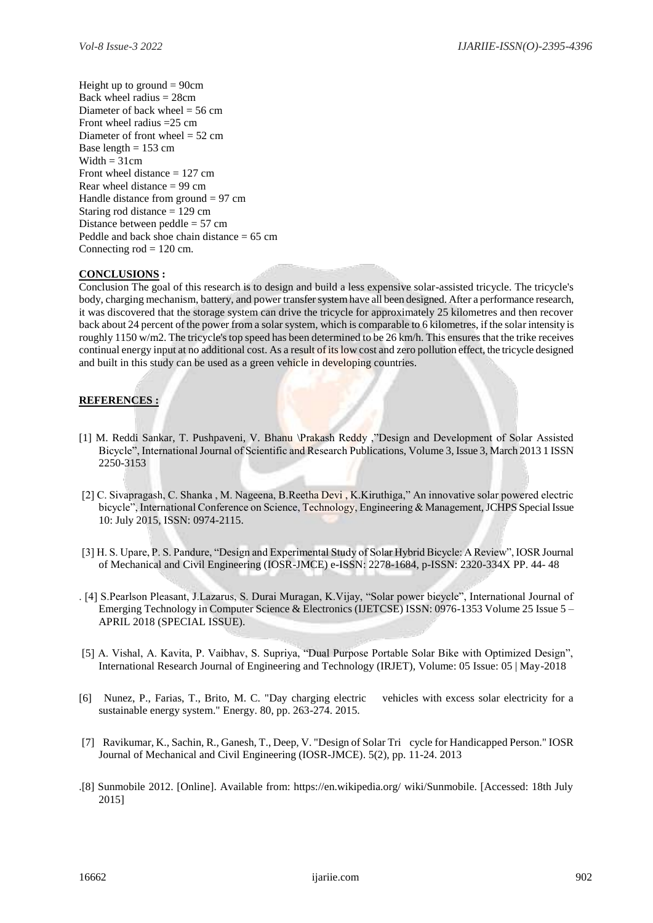Height up to ground  $= 90$ cm Back wheel radius = 28cm Diameter of back wheel  $= 56$  cm Front wheel radius =25 cm Diameter of front wheel  $= 52$  cm Base length  $= 153$  cm  $Width = 31cm$ Front wheel distance  $= 127$  cm Rear wheel distance  $= 99$  cm Handle distance from ground  $= 97$  cm Staring rod distance = 129 cm Distance between peddle = 57 cm Peddle and back shoe chain distance = 65 cm Connecting  $rod = 120$  cm.

## **CONCLUSIONS :**

Conclusion The goal of this research is to design and build a less expensive solar-assisted tricycle. The tricycle's body, charging mechanism, battery, and power transfer system have all been designed. After a performance research, it was discovered that the storage system can drive the tricycle for approximately 25 kilometres and then recover back about 24 percent of the power from a solar system, which is comparable to 6 kilometres, if the solar intensity is roughly 1150 w/m2. The tricycle's top speed has been determined to be 26 km/h. This ensures that the trike receives continual energy input at no additional cost. As a result of its low cost and zero pollution effect, the tricycle designed and built in this study can be used as a green vehicle in developing countries.

## **REFERENCES :**

- [1] M. Reddi Sankar, T. Pushpaveni, V. Bhanu \Prakash Reddy ,"Design and Development of Solar Assisted Bicycle", International Journal of Scientific and Research Publications, Volume 3, Issue 3, March 2013 1 ISSN 2250-3153
- [2] C. Sivapragash, C. Shanka , M. Nageena, B.Reetha Devi , K.Kiruthiga," An innovative solar powered electric bicycle", International Conference on Science, Technology, Engineering & Management, JCHPS Special Issue 10: July 2015, ISSN: 0974-2115.
- [3] H. S. Upare, P. S. Pandure, "Design and Experimental Study of Solar Hybrid Bicycle: A Review", IOSR Journal of Mechanical and Civil Engineering (IOSR-JMCE) e-ISSN: 2278-1684, p-ISSN: 2320-334X PP. 44- 48
- . [4] S.Pearlson Pleasant, J.Lazarus, S. Durai Muragan, K.Vijay, "Solar power bicycle", International Journal of Emerging Technology in Computer Science & Electronics (IJETCSE) ISSN: 0976-1353 Volume 25 Issue 5 – APRIL 2018 (SPECIAL ISSUE).
- [5] A. Vishal, A. Kavita, P. Vaibhav, S. Supriya, "Dual Purpose Portable Solar Bike with Optimized Design", International Research Journal of Engineering and Technology (IRJET), Volume: 05 Issue: 05 | May-2018
- [6] Nunez, P., Farias, T., Brito, M. C. "Day charging electric vehicles with excess solar electricity for a sustainable energy system." Energy. 80, pp. 263-274. 2015.
- [7] Ravikumar, K., Sachin, R., Ganesh, T., Deep, V. "Design of Solar Tri cycle for Handicapped Person." IOSR Journal of Mechanical and Civil Engineering (IOSR-JMCE). 5(2), pp. 11-24. 2013
- .[8] Sunmobile 2012. [Online]. Available from: https://en.wikipedia.org/ wiki/Sunmobile. [Accessed: 18th July 2015]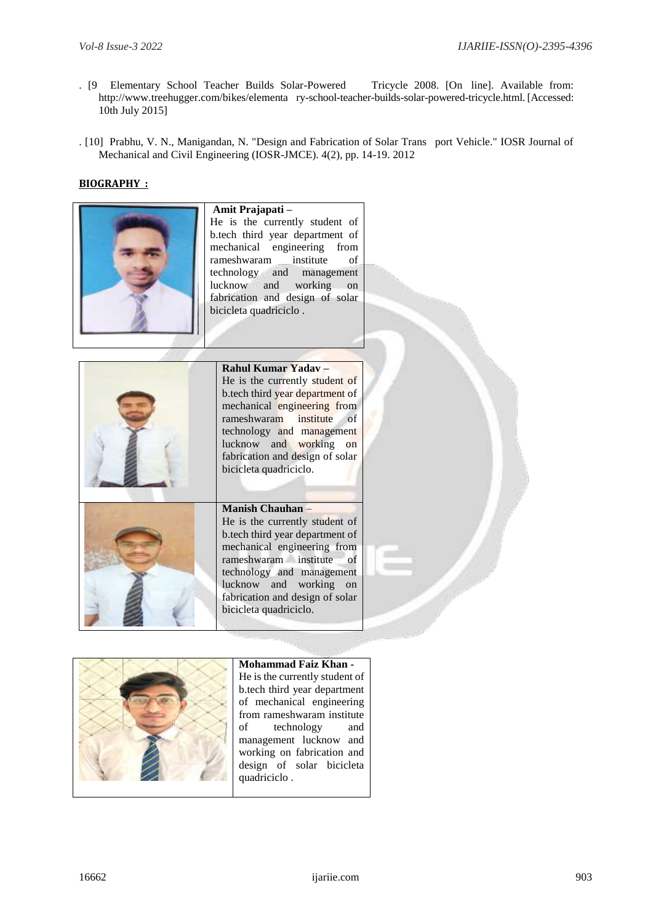- . [9 Elementary School Teacher Builds Solar-Powered Tricycle 2008. [On line]. Available from: http://www.treehugger.com/bikes/elementa ry-school-teacher-builds-solar-powered-tricycle.html. [Accessed: 10th July 2015]
- . [10] Prabhu, V. N., Manigandan, N. "Design and Fabrication of Solar Trans port Vehicle." IOSR Journal of Mechanical and Civil Engineering (IOSR-JMCE). 4(2), pp. 14-19. 2012

# **BIOGRAPHY :**



#### **Amit Prajapati –** He is the currently student of b.tech third year department of mechanical engineering from<br>rameshwaram institute of rameshwaram institute of technology and management<br>lucknow and working on lucknow and working on fabrication and design of solar bicicleta quadriciclo .

# **Rahul Kumar Yadav –**

He is the currently student of b.tech third year department of mechanical engineering from rameshwaram institute of technology and management lucknow and working on fabrication and design of solar bicicleta quadriciclo.

#### **Manish Chauhan** –

He is the currently student of b.tech third year department of mechanical engineering from rameshwaram institute of technology and management lucknow and working on fabrication and design of solar bicicleta quadriciclo.



# **Mohammad Faiz Khan -** He is the currently student of b.tech third year department of mechanical engineering

from rameshwaram institute<br>of technology and technology and management lucknow and working on fabrication and design of solar bicicleta